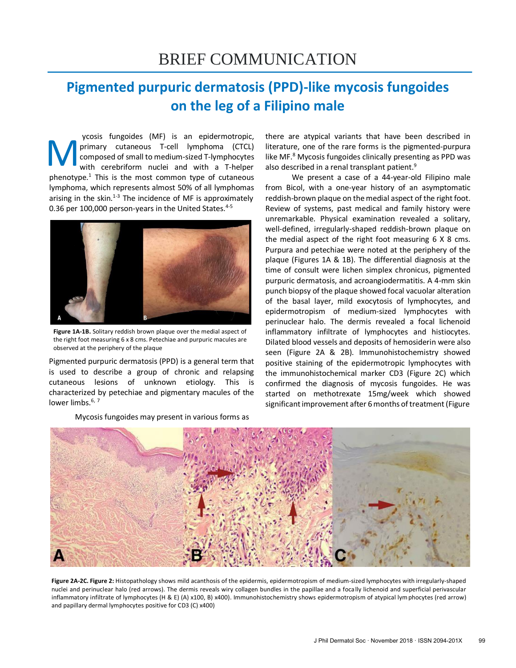# **Pigmented purpuric dermatosis (PPD)-like mycosis fungoides on the leg of a Filipino male**

M ycosis fungoides (MF) is an epidermotropic, primary cutaneous T-cell lymphoma (CTCL) composed of small to medium-sized T-lymphocytes with cerebriform nuclei and with a T-helper phenotype. $1$  This is the most common type of cutaneous lymphoma, which represents almost 50% of all lymphomas arising in the skin. $1-3$  The incidence of MF is approximately 0.36 per 100,000 person-years in the United States.<sup>4-5</sup>



**Figure 1A-1B.** Solitary reddish brown plaque over the medial aspect of the right foot measuring 6 x 8 cms. Petechiae and purpuric macules are observed at the periphery of the plaque

Pigmented purpuric dermatosis (PPD) is a general term that is used to describe a group of chronic and relapsing cutaneous lesions of unknown etiology. This is characterized by petechiae and pigmentary macules of the lower limbs. $6, 7$ 

Mycosis fungoides may present in various forms as

there are atypical variants that have been described in literature, one of the rare forms is the pigmented-purpura like MF.<sup>8</sup> Mycosis fungoides clinically presenting as PPD was also described in a renal transplant patient.<sup>9</sup>

We present a case of a 44-year-old Filipino male from Bicol, with a one-year history of an asymptomatic reddish-brown plaque on the medial aspect of the right foot. Review of systems, past medical and family history were unremarkable. Physical examination revealed a solitary, well-defined, irregularly-shaped reddish-brown plaque on the medial aspect of the right foot measuring 6 X 8 cms. Purpura and petechiae were noted at the periphery of the plaque (Figures 1A & 1B). The differential diagnosis at the time of consult were lichen simplex chronicus, pigmented purpuric dermatosis, and acroangiodermatitis. A 4-mm skin punch biopsy of the plaque showed focal vacuolar alteration of the basal layer, mild exocytosis of lymphocytes, and epidermotropism of medium-sized lymphocytes with perinuclear halo. The dermis revealed a focal lichenoid inflammatory infiltrate of lymphocytes and histiocytes. Dilated blood vessels and deposits of hemosiderin were also seen (Figure 2A & 2B). Immunohistochemistry showed positive staining of the epidermotropic lymphocytes with the immunohistochemical marker CD3 (Figure 2C) which confirmed the diagnosis of mycosis fungoides. He was started on methotrexate 15mg/week which showed significant improvement after 6 months of treatment (Figure



**Figure 2A-2C. Figure 2:** Histopathology shows mild acanthosis of the epidermis, epidermotropism of medium-sized lymphocytes with irregularly-shaped nuclei and perinuclear halo (red arrows). The dermis reveals wiry collagen bundles in the papillae and a focally lichenoid and superficial perivascular inflammatory infiltrate of lymphocytes (H & E) (A) x100, B) x400). Immunohistochemistry shows epidermotropism of atypical lymphocytes (red arrow) and papillary dermal lymphocytes positive for CD3 (C) x400)